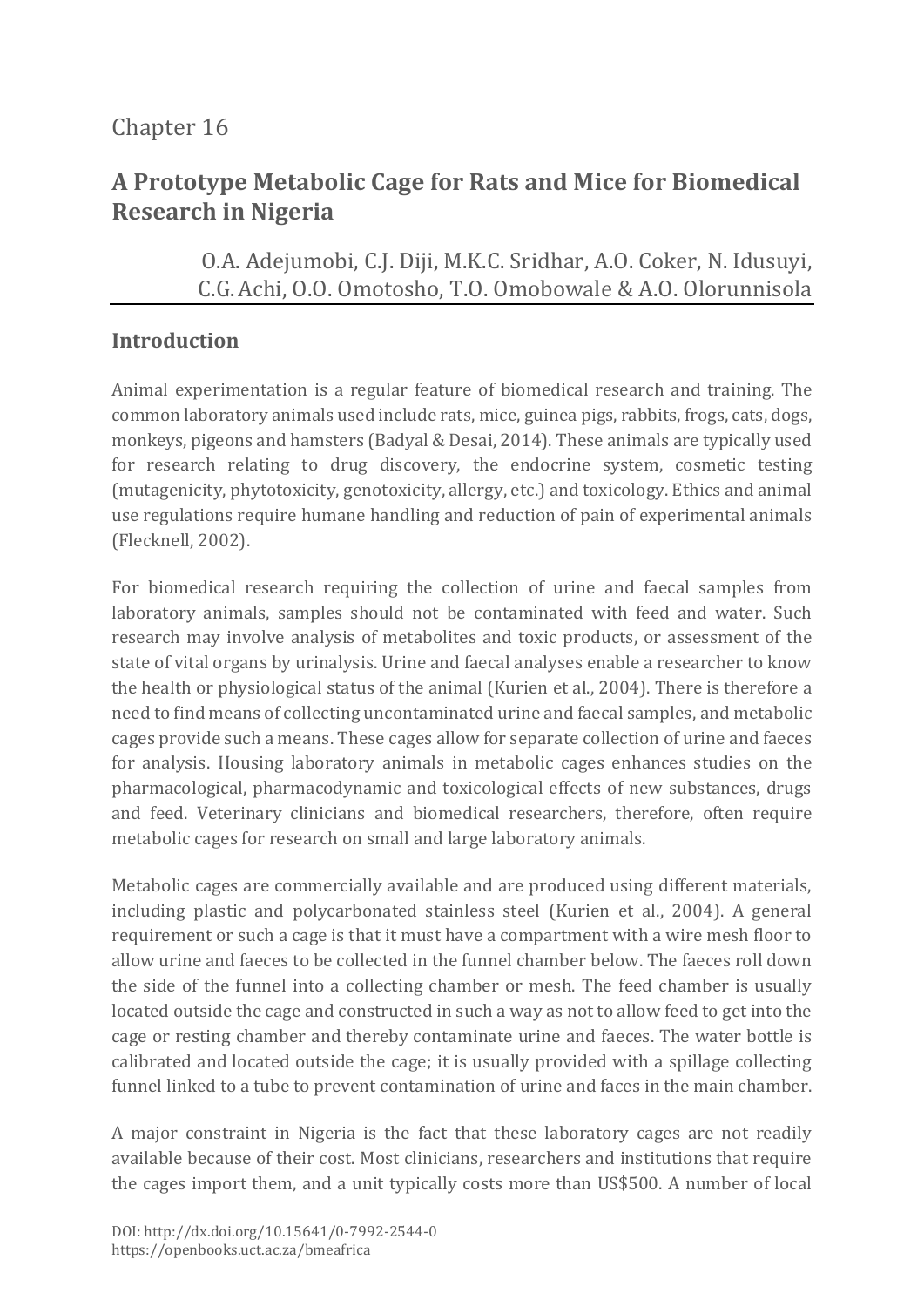# Chapter 16

# **A Prototype Metabolic Cage for Rats and Mice for Biomedical Research in Nigeria**

O.A. Adejumobi, C.J. Diji, M.K.C. Sridhar, A.O. Coker, N. Idusuyi, C.G.Achi, O.O. Omotosho, T.O. Omobowale & A.O. Olorunnisola

#### **Introduction**

Animal experimentation is a regular feature of biomedical research and training. The common laboratory animals used include rats, mice, guinea pigs, rabbits, frogs, cats, dogs, monkeys, pigeons and hamsters (Badyal & Desai, 2014). These animals are typically used for research relating to drug discovery, the endocrine system, cosmetic testing (mutagenicity, phytotoxicity, genotoxicity, allergy, etc.) and toxicology. Ethics and animal use regulations require humane handling and reduction of pain of experimental animals (Flecknell, 2002).

For biomedical research requiring the collection of urine and faecal samples from laboratory animals, samples should not be contaminated with feed and water. Such research may involve analysis of metabolites and toxic products, or assessment of the state of vital organs by urinalysis. Urine and faecal analyses enable a researcher to know the health or physiological status of the animal (Kurien et al., 2004). There is therefore a need to find means of collecting uncontaminated urine and faecal samples, and metabolic cages provide such a means. These cages allow for separate collection of urine and faeces for analysis. Housing laboratory animals in metabolic cages enhances studies on the pharmacological, pharmacodynamic and toxicological effects of new substances, drugs and feed. Veterinary clinicians and biomedical researchers, therefore, often require metabolic cages for research on small and large laboratory animals.

Metabolic cages are commercially available and are produced using different materials, including plastic and polycarbonated stainless steel (Kurien et al., 2004). A general requirement or such a cage is that it must have a compartment with a wire mesh floor to allow urine and faeces to be collected in the funnel chamber below. The faeces roll down the side of the funnel into a collecting chamber or mesh. The feed chamber is usually located outside the cage and constructed in such a way as not to allow feed to get into the cage or resting chamber and thereby contaminate urine and faeces. The water bottle is calibrated and located outside the cage; it is usually provided with a spillage collecting funnel linked to a tube to prevent contamination of urine and faces in the main chamber.

A major constraint in Nigeria is the fact that these laboratory cages are not readily available because of their cost. Most clinicians, researchers and institutions that require the cages import them, and a unit typically costs more than US\$500. A number of local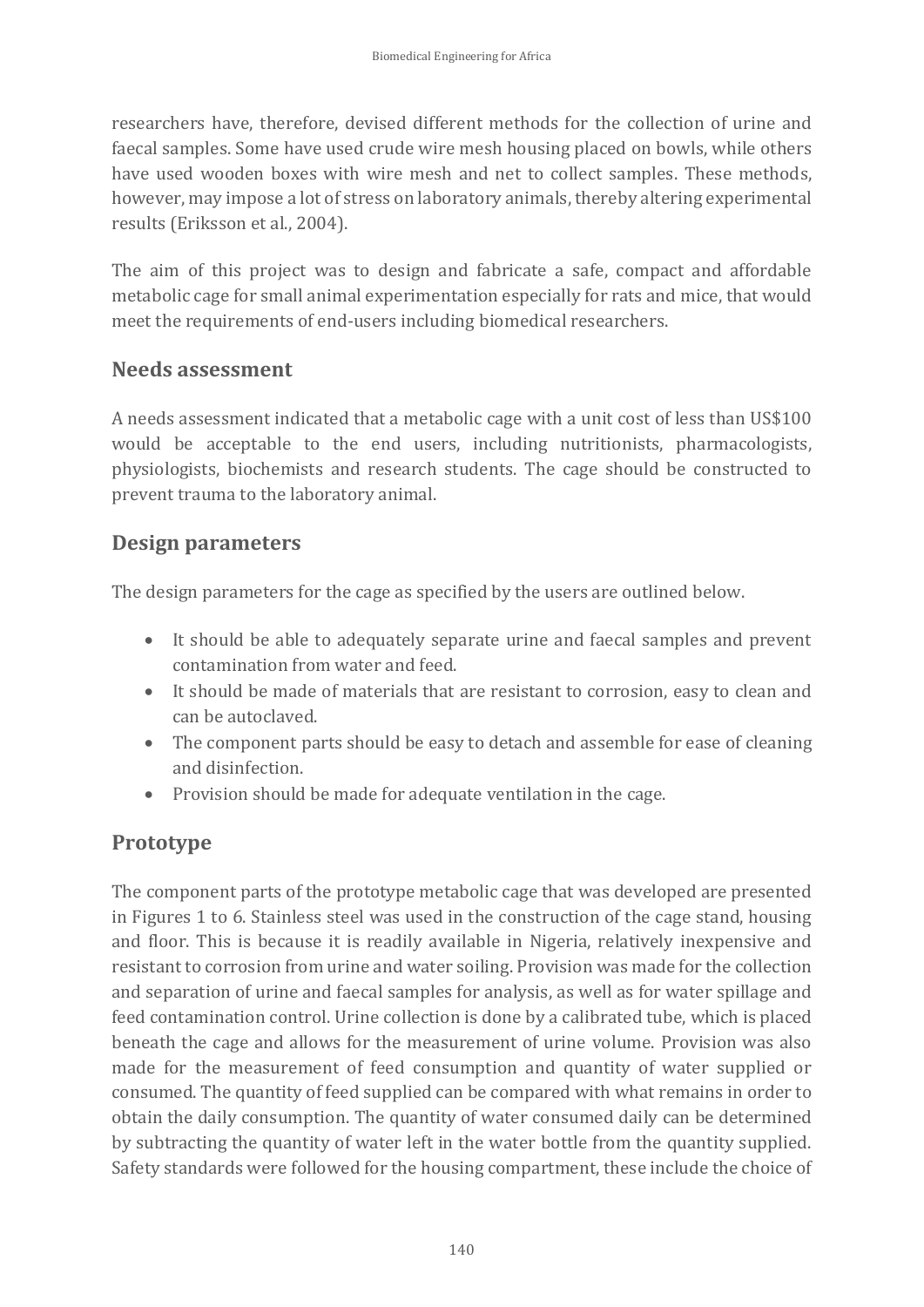researchers have, therefore, devised different methods for the collection of urine and faecal samples. Some have used crude wire mesh housing placed on bowls, while others have used wooden boxes with wire mesh and net to collect samples. These methods, however, may impose a lot of stress on laboratory animals, thereby altering experimental results (Eriksson et al., 2004).

The aim of this project was to design and fabricate a safe, compact and affordable metabolic cage for small animal experimentation especially for rats and mice, that would meet the requirements of end-users including biomedical researchers.

#### **Needs assessment**

A needs assessment indicated that a metabolic cage with a unit cost of less than US\$100 would be acceptable to the end users, including nutritionists, pharmacologists, physiologists, biochemists and research students. The cage should be constructed to prevent trauma to the laboratory animal.

#### **Design parameters**

The design parameters for the cage as specified by the users are outlined below.

- It should be able to adequately separate urine and faecal samples and prevent contamination from water and feed.
- It should be made of materials that are resistant to corrosion, easy to clean and can be autoclaved.
- The component parts should be easy to detach and assemble for ease of cleaning and disinfection.
- Provision should be made for adequate ventilation in the cage.

## **Prototype**

The component parts of the prototype metabolic cage that was developed are presented in Figures 1 to 6. Stainless steel was used in the construction of the cage stand, housing and floor. This is because it is readily available in Nigeria, relatively inexpensive and resistant to corrosion from urine and water soiling. Provision was made for the collection and separation of urine and faecal samples for analysis, as well as for water spillage and feed contamination control. Urine collection is done by a calibrated tube, which is placed beneath the cage and allows for the measurement of urine volume. Provision was also made for the measurement of feed consumption and quantity of water supplied or consumed. The quantity of feed supplied can be compared with what remains in order to obtain the daily consumption. The quantity of water consumed daily can be determined by subtracting the quantity of water left in the water bottle from the quantity supplied. Safety standards were followed for the housing compartment, these include the choice of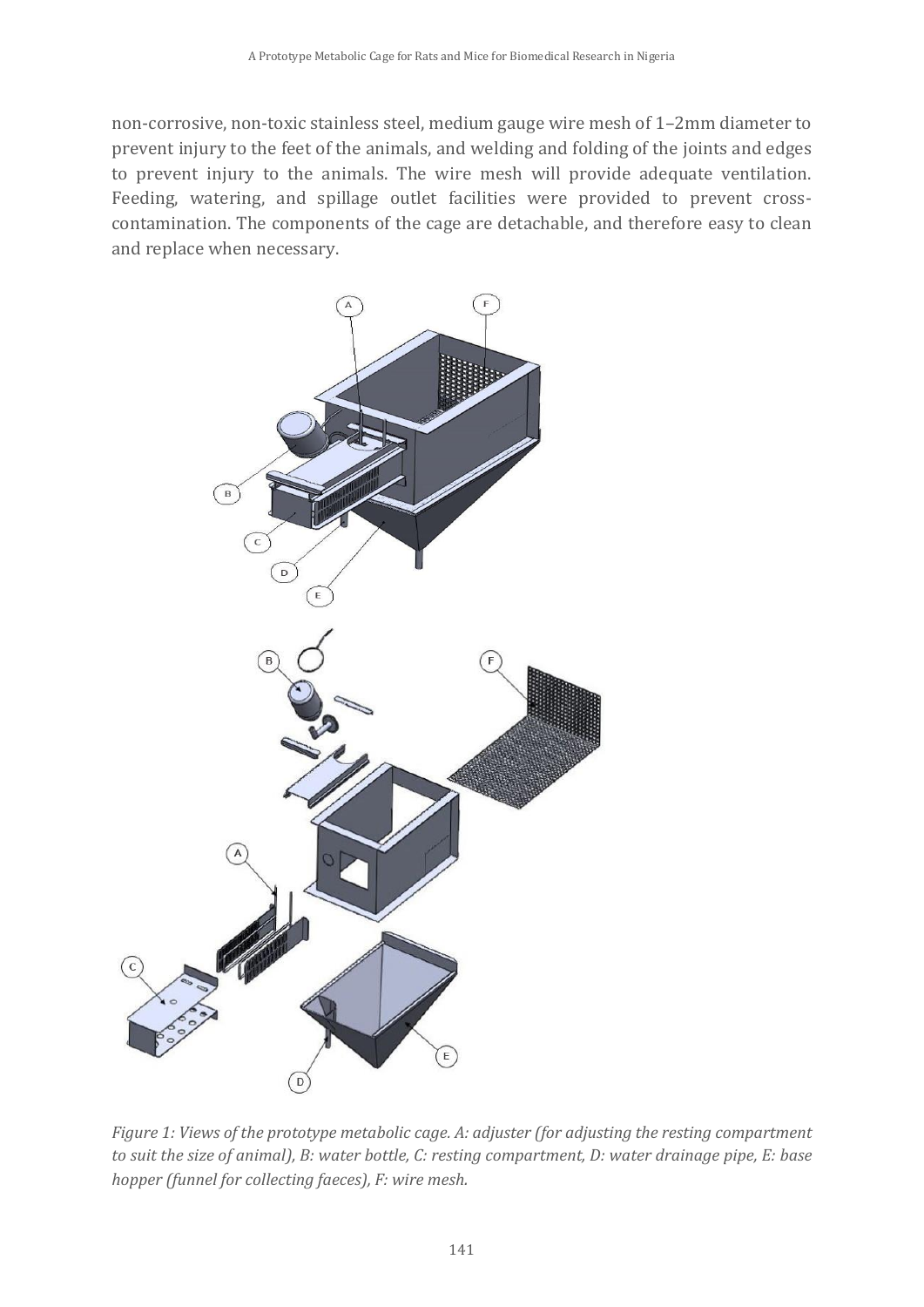non-corrosive, non-toxic stainless steel, medium gauge wire mesh of 1–2mm diameter to prevent injury to the feet of the animals, and welding and folding of the joints and edges to prevent injury to the animals. The wire mesh will provide adequate ventilation. Feeding, watering, and spillage outlet facilities were provided to prevent crosscontamination. The components of the cage are detachable, and therefore easy to clean and replace when necessary.



*Figure 1: Views of the prototype metabolic cage. A: adjuster (for adjusting the resting compartment to suit the size of animal), B: water bottle, C: resting compartment, D: water drainage pipe, E: base hopper (funnel for collecting faeces), F: wire mesh.*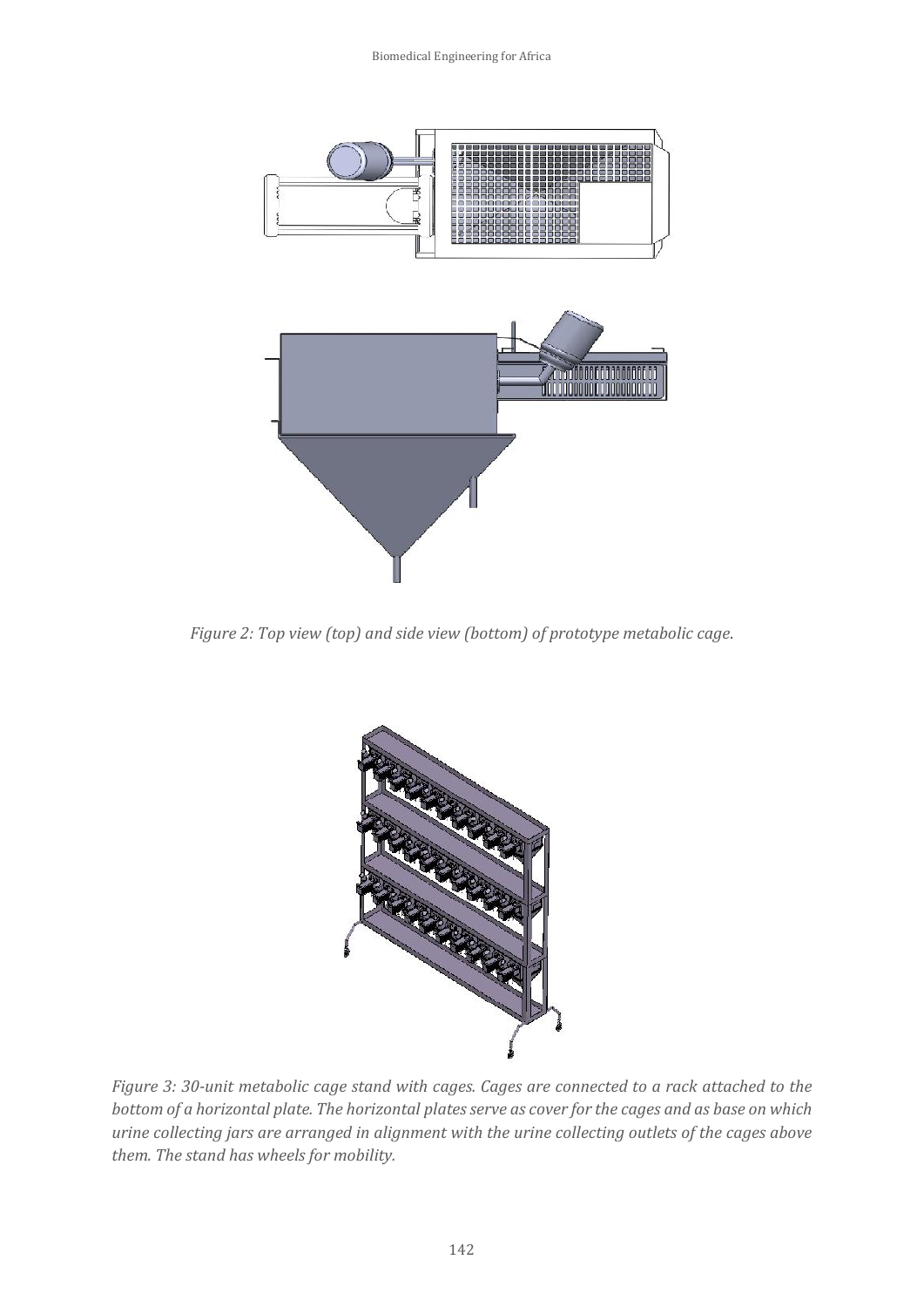Biomedical Engineering for Africa



*Figure 2: Top view (top) and side view (bottom) of prototype metabolic cage*.



*Figure 3: 30-unit metabolic cage stand with cages. Cages are connected to a rack attached to the bottom of a horizontal plate. The horizontal plates serve as cover for the cages and as base on which urine collecting jars are arranged in alignment with the urine collecting outlets of the cages above them. The stand has wheels for mobility.*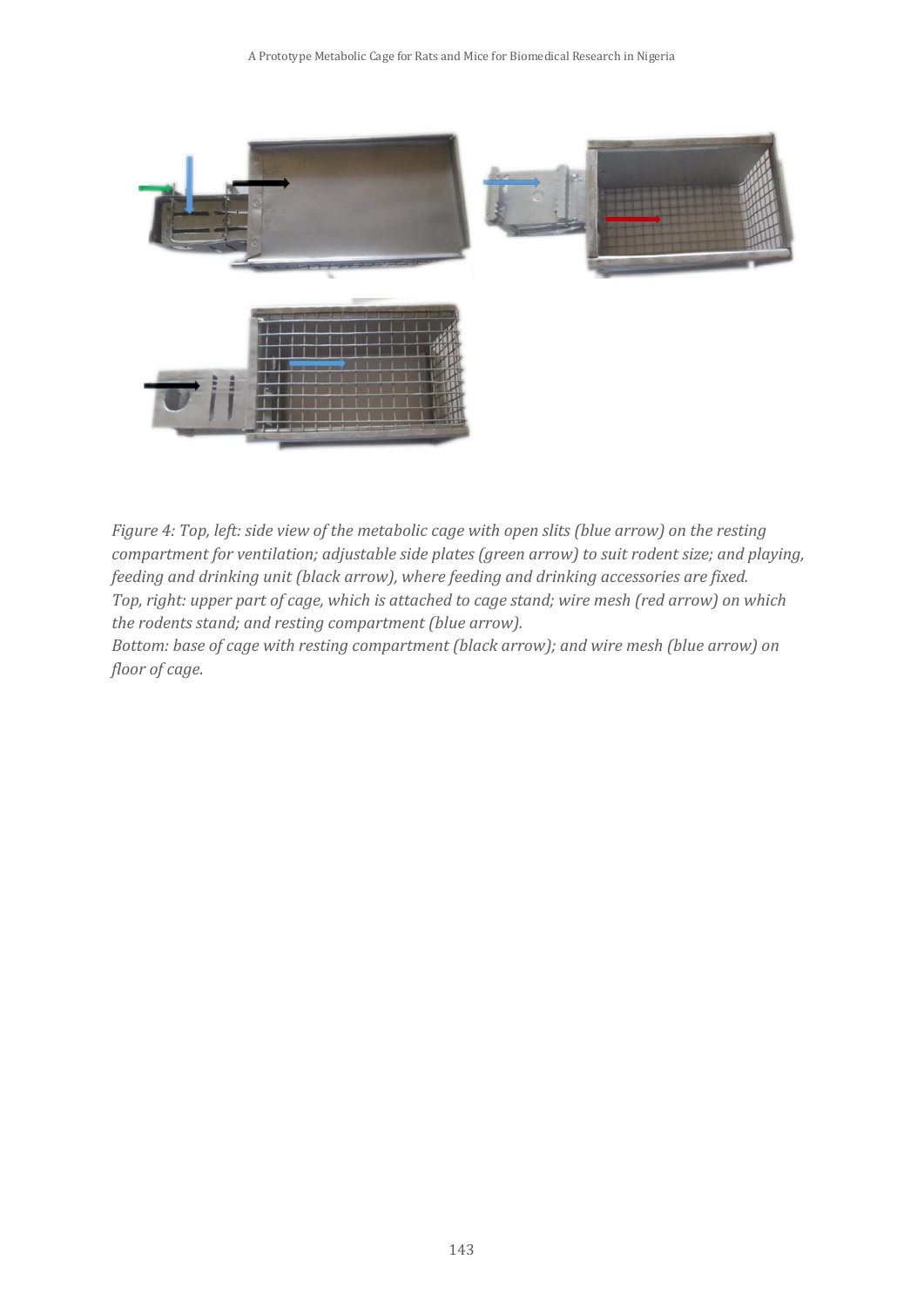

*Figure 4: Top, left: side view of the metabolic cage with open slits (blue arrow) on the resting compartment for ventilation; adjustable side plates (green arrow) to suit rodent size; and playing, feeding and drinking unit (black arrow), where feeding and drinking accessories are fixed. Top, right: upper part of cage, which is attached to cage stand; wire mesh (red arrow) on which the rodents stand; and resting compartment (blue arrow).* 

*Bottom: base of cage with resting compartment (black arrow); and wire mesh (blue arrow) on floor of cage*.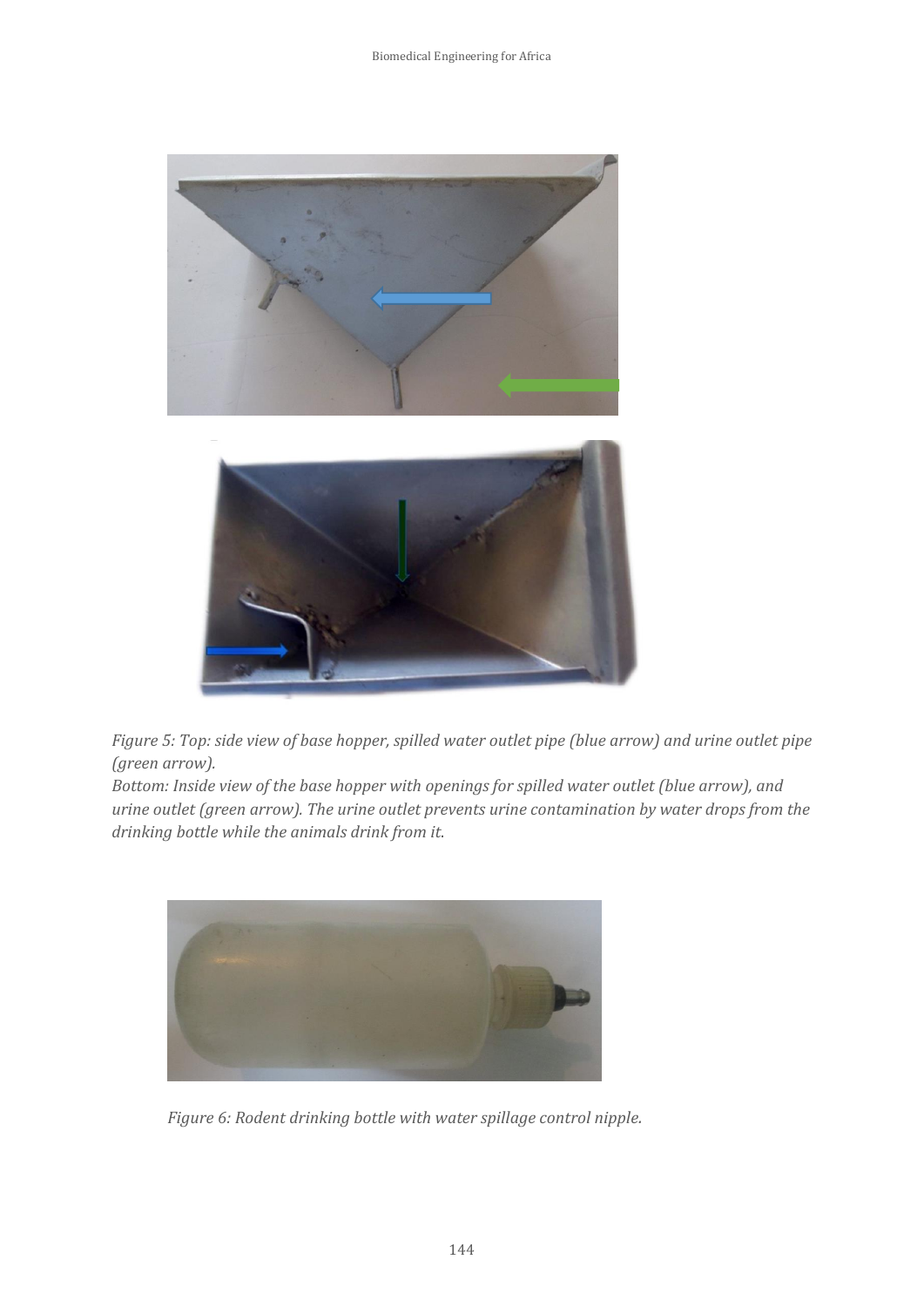

*Figure 5: Top: side view of base hopper, spilled water outlet pipe (blue arrow) and urine outlet pipe (green arrow).* 

*Bottom: Inside view of the base hopper with openings for spilled water outlet (blue arrow), and urine outlet (green arrow). The urine outlet prevents urine contamination by water drops from the drinking bottle while the animals drink from it*.



*Figure 6: Rodent drinking bottle with water spillage control nipple.*